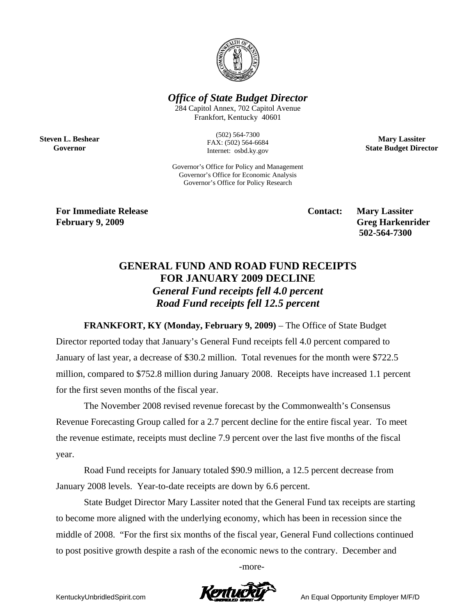

*Office of State Budget Director* 

284 Capitol Annex, 702 Capitol Avenue Frankfort, Kentucky 40601

> (502) 564-7300 FAX: (502) 564-6684 Internet: osbd.ky.gov

Governor's Office for Policy and Management Governor's Office for Economic Analysis Governor's Office for Policy Research

**Mary Lassiter State Budget Director** 

**For Immediate Release Secure 2.1 Contact: Mary Lassiter Contact: Mary Lassiter February 9, 2009** Greg Harkenrider **Greg Harkenrider Greg Harkenrider Greg Harkenrider** 

**Steven L. Beshear Governor** 

 **502-564-7300** 

## **GENERAL FUND AND ROAD FUND RECEIPTS FOR JANUARY 2009 DECLINE**  *General Fund receipts fell 4.0 percent Road Fund receipts fell 12.5 percent*

**FRANKFORT, KY (Monday, February 9, 2009)** – The Office of State Budget Director reported today that January's General Fund receipts fell 4.0 percent compared to January of last year, a decrease of \$30.2 million. Total revenues for the month were \$722.5 million, compared to \$752.8 million during January 2008. Receipts have increased 1.1 percent for the first seven months of the fiscal year.

The November 2008 revised revenue forecast by the Commonwealth's Consensus Revenue Forecasting Group called for a 2.7 percent decline for the entire fiscal year. To meet the revenue estimate, receipts must decline 7.9 percent over the last five months of the fiscal year.

Road Fund receipts for January totaled \$90.9 million, a 12.5 percent decrease from January 2008 levels. Year-to-date receipts are down by 6.6 percent.

State Budget Director Mary Lassiter noted that the General Fund tax receipts are starting to become more aligned with the underlying economy, which has been in recession since the middle of 2008. "For the first six months of the fiscal year, General Fund collections continued to post positive growth despite a rash of the economic news to the contrary. December and

-more-

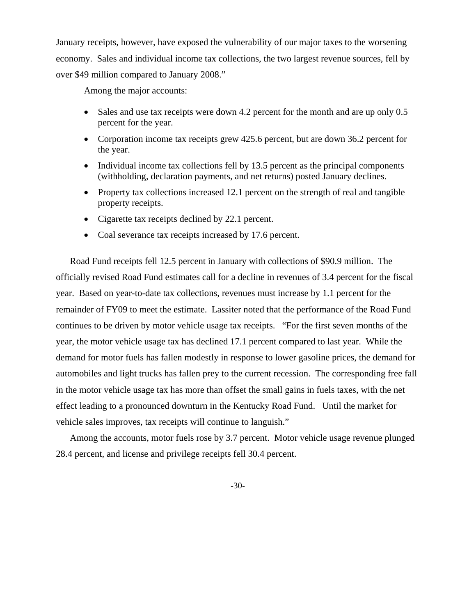January receipts, however, have exposed the vulnerability of our major taxes to the worsening economy. Sales and individual income tax collections, the two largest revenue sources, fell by over \$49 million compared to January 2008."

Among the major accounts:

- Sales and use tax receipts were down 4.2 percent for the month and are up only 0.5 percent for the year.
- Corporation income tax receipts grew 425.6 percent, but are down 36.2 percent for the year.
- Individual income tax collections fell by 13.5 percent as the principal components (withholding, declaration payments, and net returns) posted January declines.
- Property tax collections increased 12.1 percent on the strength of real and tangible property receipts.
- Cigarette tax receipts declined by 22.1 percent.
- Coal severance tax receipts increased by 17.6 percent.

Road Fund receipts fell 12.5 percent in January with collections of \$90.9 million. The officially revised Road Fund estimates call for a decline in revenues of 3.4 percent for the fiscal year. Based on year-to-date tax collections, revenues must increase by 1.1 percent for the remainder of FY09 to meet the estimate. Lassiter noted that the performance of the Road Fund continues to be driven by motor vehicle usage tax receipts. "For the first seven months of the year, the motor vehicle usage tax has declined 17.1 percent compared to last year. While the demand for motor fuels has fallen modestly in response to lower gasoline prices, the demand for automobiles and light trucks has fallen prey to the current recession. The corresponding free fall in the motor vehicle usage tax has more than offset the small gains in fuels taxes, with the net effect leading to a pronounced downturn in the Kentucky Road Fund. Until the market for vehicle sales improves, tax receipts will continue to languish."

Among the accounts, motor fuels rose by 3.7 percent. Motor vehicle usage revenue plunged 28.4 percent, and license and privilege receipts fell 30.4 percent.

-30-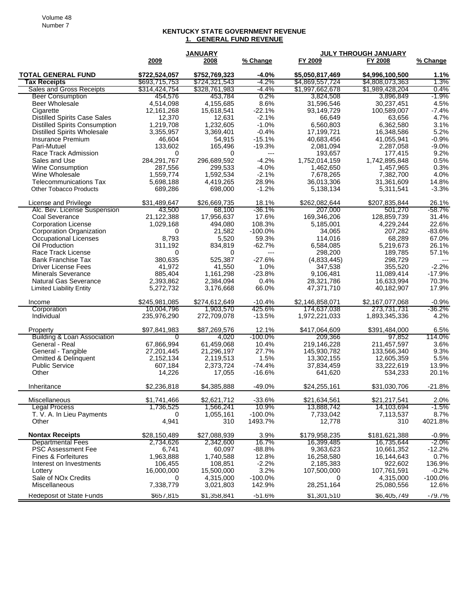## **KENTUCKY STATE GOVERNMENT REVENUE 1. GENERAL FUND REVENUE**

|                                                          |                   | <b>JANUARY</b>      |                 | JULY THROUGH JANUARY    |                          |                |
|----------------------------------------------------------|-------------------|---------------------|-----------------|-------------------------|--------------------------|----------------|
|                                                          | 2009              | 2008                | % Change        | FY 2009                 | FY 2008                  | % Change       |
| <b>TOTAL GENERAL FUND</b>                                | \$722,524,057     | \$752,769,323       | $-4.0%$         | \$5,050,817,469         | \$4,996,100,500          | 1.1%           |
| <b>Tax Receipts</b>                                      | \$693,715,753     | \$724,321,543       | $-4.2%$         | \$4,869,557,724         | \$4,808,073,363          | 1.3%           |
| Sales and Gross Receipts                                 | \$314,424,754     | \$328,761,983       | -4.4%           | \$1,997,662,678         | \$1,989,428,204          | 0.4%           |
| <b>Beer Consumption</b>                                  | 454,576           | 453,784             | 0.2%            | 3,824,508               | 3,896,849                | $-1.9%$        |
| Beer Wholesale                                           | 4,514,098         | 4,155,685           | 8.6%            | 31,596,546              | 30,237,451               | 4.5%           |
| Cigarette                                                | 12,161,268        | 15,618,541          | $-22.1%$        | 93,149,729              | 100,589,007              | $-7.4%$        |
| <b>Distilled Spirits Case Sales</b>                      | 12,370            | 12,631              | $-2.1%$         | 66,649                  | 63,656                   | 4.7%           |
| <b>Distilled Spirits Consumption</b>                     | 1,219,708         | 1,232,605           | $-1.0%$         | 6,560,803               | 6,362,580                | 3.1%           |
| <b>Distilled Spirits Wholesale</b>                       | 3,355,957         | 3,369,401           | $-0.4%$         | 17,199,721              | 16,348,586               | 5.2%           |
| Insurance Premium                                        | 46,604            | 54,915              | $-15.1%$        | 40,683,456              | 41,055,941               | $-0.9%$        |
| Pari-Mutuel                                              | 133,602           | 165,496             | $-19.3%$        | 2,081,094               | 2,287,058                | $-9.0%$        |
| Race Track Admission                                     | 0                 | 0                   | $\overline{a}$  | 193,657                 | 177,415                  | 9.2%           |
| Sales and Use                                            | 284,291,767       | 296,689,592         | $-4.2%$         | 1,752,014,159           | 1,742,895,848            | 0.5%           |
| Wine Consumption                                         | 287,556           | 299,533             | $-4.0%$         | 1,462,650               | 1,457,965                | 0.3%           |
| Wine Wholesale                                           | 1,559,774         | 1,592,534           | $-2.1%$         | 7,678,265               | 7,382,700                | 4.0%           |
| <b>Telecommunications Tax</b>                            | 5,698,188         | 4,419,265           | 28.9%           | 36,013,306              | 31,361,609               | 14.8%          |
| <b>Other Tobacco Products</b>                            | 689,286           | 698,000             | $-1.2%$         | 5,138,134               | 5,311,541                | $-3.3%$        |
| License and Privilege                                    | \$31,489,647      | \$26,669,735        | 18.1%           | \$262,082,644           | \$207,835,844            | 26.1%          |
| Alc. Bev. License Suspension                             | 43,500            | 68,100              | $-36.1%$        | 207,000                 | 501,270                  | $-58.7%$       |
| Coal Severance                                           | 21,122,388        | 17,956,637          | 17.6%           | 169,346,206             | 128,859,739              | 31.4%          |
| <b>Corporation License</b>                               | 1,029,168         | 494,080             | 108.3%          | 5,185,001               | 4,229,244                | 22.6%          |
|                                                          |                   |                     | $-100.0%$       |                         |                          | $-83.6%$       |
| Corporation Organization<br><b>Occupational Licenses</b> | 0                 | 21,582              |                 | 34,065<br>114.016       | 207,282                  |                |
|                                                          | 8,793             | 5,520               | 59.3%           |                         | 68,289                   | 67.0%          |
| Oil Production<br>Race Track License                     | 311,192           | 834,819<br>$\Omega$ | $-62.7%$        | 6,584,085               | 5,219,673                | 26.1%          |
| <b>Bank Franchise Tax</b>                                | 0<br>380,635      | 525,387             | ---<br>$-27.6%$ | 298,200                 | 189,785                  | 57.1%<br>$---$ |
| <b>Driver License Fees</b>                               |                   |                     | 1.0%            | (4,833,445)             | 298,729                  | $-2.2%$        |
| <b>Minerals Severance</b>                                | 41,972<br>885,404 | 41,550<br>1,161,298 | $-23.8%$        | 347,538                 | 355,520                  | $-17.9%$       |
| Natural Gas Severance                                    | 2,393,862         | 2,384,094           | 0.4%            | 9,106,481<br>28,321,786 | 11,089,414<br>16,633,994 | 70.3%          |
|                                                          |                   |                     | 66.0%           |                         |                          | 17.9%          |
| <b>Limited Liability Entity</b>                          | 5,272,732         | 3,176,668           |                 | 47,371,710              | 40,182,907               |                |
| Income                                                   | \$245,981,085     | \$274,612,649       | $-10.4%$        | \$2,146,858,071         | \$2,167,077,068          | $-0.9%$        |
| Corporation                                              | 10,004,796        | 1,903,570           | 425.6%          | 174,637,038             | 273,731,731              | $-36.2\%$      |
| Individual                                               | 235,976,290       | 272,709,078         | $-13.5%$        | 1,972,221,033           | 1,893,345,336            | 4.2%           |
| Property                                                 | \$97,841,983      | \$87,269,576        | 12.1%           | \$417,064,609           | \$391,484,000            | 6.5%           |
| <b>Building &amp; Loan Association</b>                   | 0                 | 4,020               | $-100.0\%$      | 209,366                 | 97,852                   | 114.0%         |
| General - Real                                           | 67,866,994        | 61,459,068          | 10.4%           | 219,146,228             | 211,457,597              | 3.6%           |
| General - Tangible                                       | 27,201,445        | 21,296,197          | 27.7%           | 145,930,782             | 133,566,340              | 9.3%           |
| <b>Omitted &amp; Delinquent</b>                          | 2,152,134         | 2,119,513           | 1.5%            | 13,302,155              | 12,605,359               | 5.5%           |
| <b>Public Service</b>                                    | 607,184           | 2,373,724           | $-74.4%$        | 37,834,459              | 33,222,619               | 13.9%          |
| Other                                                    | 14,226            | 17,055              | $-16.6%$        | 641,620                 | 534,233                  | 20.1%          |
| Inheritance                                              | \$2,236,818       | \$4,385,888         | $-49.0%$        | \$24,255,161            | \$31,030,706             | $-21.8%$       |
| Miscellaneous                                            | \$1,741,466       | \$2,621,712         | $-33.6%$        | \$21,634,561            | \$21,217,541             | 2.0%           |
| <b>Legal Process</b>                                     | 1,736,525         | 1,566,241           | 10.9%           | 13,888,742              | 14,103,694               | $-1.5\%$       |
| T. V. A. In Lieu Payments                                | 0                 | 1,055,161           | $-100.0\%$      | 7,733,042               | 7,113,537                | 8.7%           |
| Other                                                    | 4,941             | 310                 | 1493.7%         | 12,778                  | 310                      | 4021.8%        |
| <b>Nontax Receipts</b>                                   | \$28,150,489      | \$27,088,939        | 3.9%            | \$179,958,235           | \$181,621,388            | -0.9%          |
| <b>Departmental Fees</b>                                 | 2,734,626         | 2,342,600           | 16.7%           | 16,399,485              | 16,735,644               | $-2.0\%$       |
| <b>PSC Assessment Fee</b>                                | 6,741             | 60,097              | $-88.8%$        | 9,363,623               | 10,661,352               | $-12.2%$       |
| <b>Fines &amp; Forfeitures</b>                           | 1,963,888         | 1,740,588           | 12.8%           | 16,258,580              | 16,144,643               | 0.7%           |
| Interest on Investments                                  | 106,455           | 108,851             | $-2.2%$         | 2,185,383               | 922,602                  | 136.9%         |
| Lotterv                                                  | 16,000,000        | 15,500,000          | 3.2%            | 107,500,000             | 107,761,591              | $-0.2%$        |
| Sale of NO <sub>x</sub> Credits                          | 0                 | 4,315,000           | $-100.0%$       | 0                       | 4,315,000                | $-100.0\%$     |
| Miscellaneous                                            | 7,338,779         | 3,021,803           | 142.9%          | 28,251,164              | 25,080,556               | 12.6%          |
| <b>Redeposit of State Funds</b>                          | \$657,815         | \$1,358,841         | $-51.6%$        | \$1,301,510             | \$6,405,749              | $-79.7%$       |